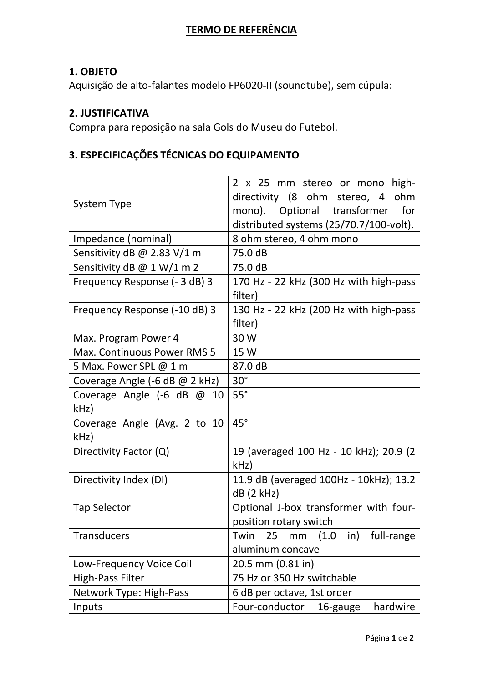## **TERMO DE REFERÊNCIA**

## **1. OBJETO**

Aquisição de alto-falantes modelo FP6020-II (soundtube), sem cúpula:

## **2. JUSTIFICATIVA**

Compra para reposição na sala Gols do Museu do Futebol.

# **3. ESPECIFICAÇÕES TÉCNICAS DO EQUIPAMENTO**

| <b>System Type</b>             | 2 x 25 mm stereo or mono high-<br>directivity (8 ohm stereo, 4 ohm<br>mono). Optional transformer<br>for<br>distributed systems (25/70.7/100-volt). |  |  |  |  |
|--------------------------------|-----------------------------------------------------------------------------------------------------------------------------------------------------|--|--|--|--|
| Impedance (nominal)            | 8 ohm stereo, 4 ohm mono                                                                                                                            |  |  |  |  |
| Sensitivity dB @ 2.83 V/1 m    | 75.0 dB                                                                                                                                             |  |  |  |  |
| Sensitivity dB @ 1 W/1 m 2     | 75.0 dB                                                                                                                                             |  |  |  |  |
| Frequency Response (- 3 dB) 3  | 170 Hz - 22 kHz (300 Hz with high-pass                                                                                                              |  |  |  |  |
|                                | filter)                                                                                                                                             |  |  |  |  |
| Frequency Response (-10 dB) 3  | 130 Hz - 22 kHz (200 Hz with high-pass                                                                                                              |  |  |  |  |
|                                | filter)                                                                                                                                             |  |  |  |  |
| Max. Program Power 4           | 30 W                                                                                                                                                |  |  |  |  |
| Max. Continuous Power RMS 5    | 15 W                                                                                                                                                |  |  |  |  |
| 5 Max. Power SPL @ 1 m         | 87.0 dB                                                                                                                                             |  |  |  |  |
| Coverage Angle (-6 dB @ 2 kHz) | $30^\circ$                                                                                                                                          |  |  |  |  |
| Coverage Angle $(-6$ dB $@$ 10 | $55^\circ$                                                                                                                                          |  |  |  |  |
| kHz                            |                                                                                                                                                     |  |  |  |  |
| Coverage Angle (Avg. 2 to 10   | $45^\circ$                                                                                                                                          |  |  |  |  |
| kHz)                           |                                                                                                                                                     |  |  |  |  |
| Directivity Factor (Q)         | 19 (averaged 100 Hz - 10 kHz); 20.9 (2                                                                                                              |  |  |  |  |
|                                | kHz)                                                                                                                                                |  |  |  |  |
| Directivity Index (DI)         | 11.9 dB (averaged 100Hz - 10kHz); 13.2                                                                                                              |  |  |  |  |
|                                | $dB$ (2 kHz)                                                                                                                                        |  |  |  |  |
| <b>Tap Selector</b>            | Optional J-box transformer with four-                                                                                                               |  |  |  |  |
|                                | position rotary switch                                                                                                                              |  |  |  |  |
| <b>Transducers</b>             | Twin 25 mm (1.0 in) full-range                                                                                                                      |  |  |  |  |
|                                | aluminum concave                                                                                                                                    |  |  |  |  |
| Low-Frequency Voice Coil       | 20.5 mm (0.81 in)                                                                                                                                   |  |  |  |  |
| High-Pass Filter               | 75 Hz or 350 Hz switchable                                                                                                                          |  |  |  |  |
| Network Type: High-Pass        | 6 dB per octave, 1st order                                                                                                                          |  |  |  |  |
| Inputs                         | Four-conductor<br>hardwire<br>16-gauge                                                                                                              |  |  |  |  |